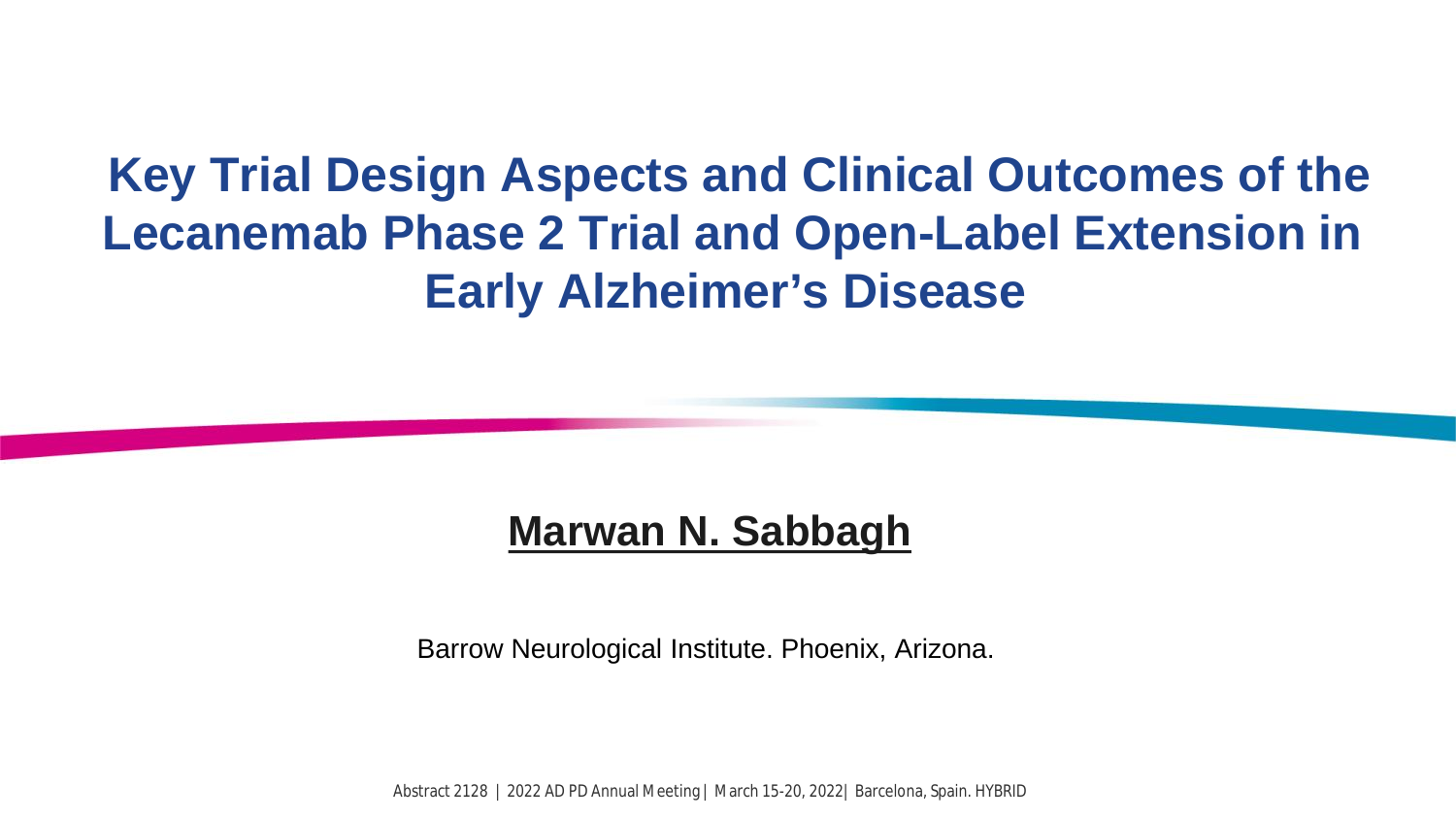# **Key Trial Design Aspects and Clinical Outcomes of the Lecanemab Phase 2 Trial and Open-Label Extension in Early Alzheimer's Disease**

### **Marwan N. Sabbagh**

Barrow Neurological Institute. Phoenix, Arizona.

Abstract 2128 | 2022 AD PD Annual Meeting | March 15-20, 2022| Barcelona, Spain. HYBRID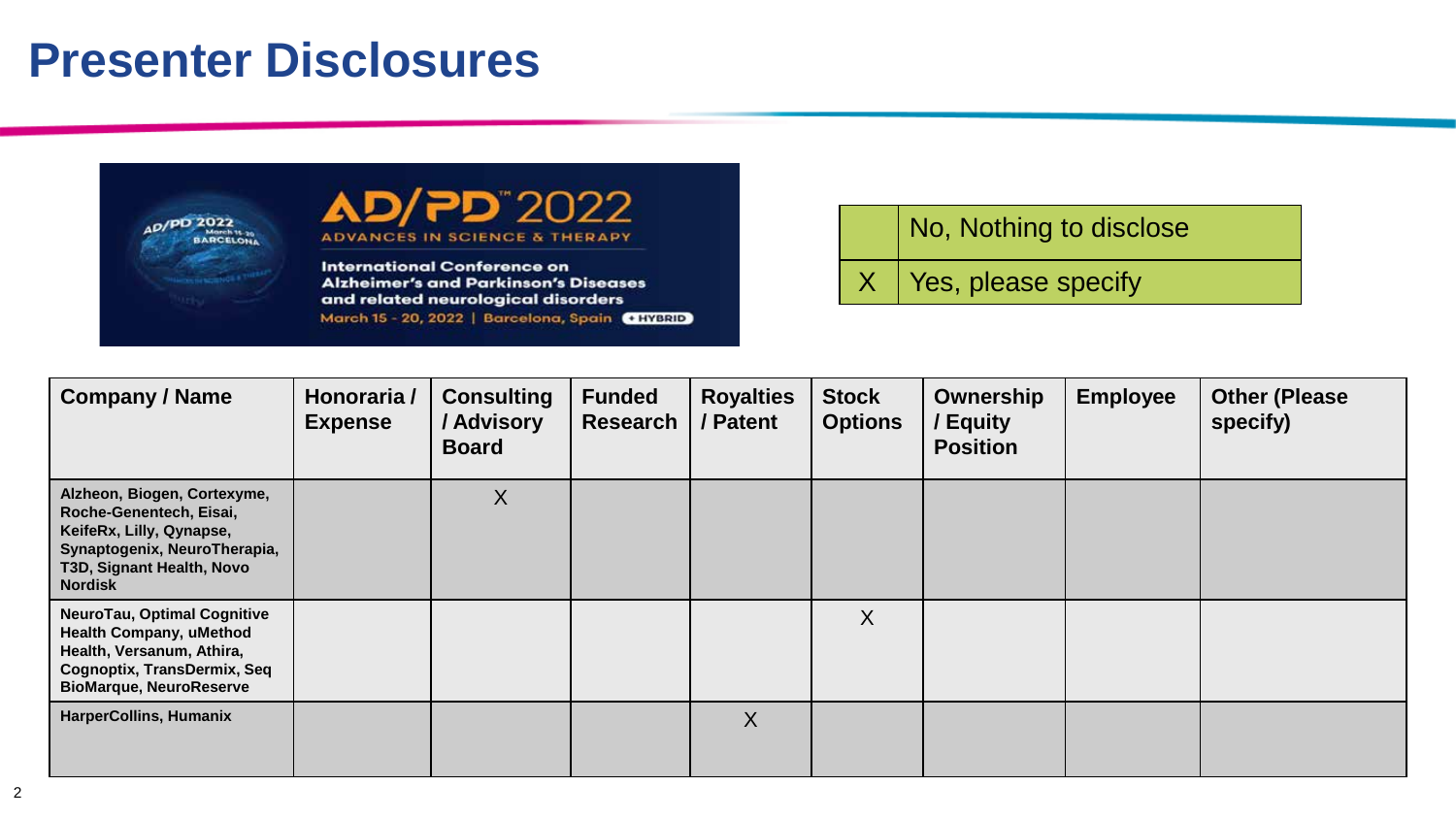## **Presenter Disclosures**



2022"כ **ADVANCES IN SCIENCE & THERAPY** 

**International Conference on Alzheimer's and Parkinson's Diseases** and related neurological disorders March 15 - 20, 2022 | Barcelona, Spain CHYBRID No, Nothing to disclose

 $X$  Yes, please specify

| <b>Company / Name</b>                                                                                                                                              | Honoraria /<br><b>Expense</b> | <b>Consulting</b><br>/ Advisory<br><b>Board</b> | <b>Funded</b><br>Research | <b>Royalties</b><br>/ Patent | <b>Stock</b><br><b>Options</b> | Ownership<br>Equity<br><b>Position</b> | <b>Employee</b> | <b>Other (Please</b><br>specify) |
|--------------------------------------------------------------------------------------------------------------------------------------------------------------------|-------------------------------|-------------------------------------------------|---------------------------|------------------------------|--------------------------------|----------------------------------------|-----------------|----------------------------------|
| Alzheon, Biogen, Cortexyme,<br>Roche-Genentech, Eisai,<br>KeifeRx, Lilly, Qynapse,<br>Synaptogenix, NeuroTherapia,<br>T3D, Signant Health, Novo<br><b>Nordisk</b>  |                               | $\boldsymbol{X}$                                |                           |                              |                                |                                        |                 |                                  |
| <b>NeuroTau, Optimal Cognitive</b><br><b>Health Company, uMethod</b><br>Health, Versanum, Athira,<br>Cognoptix, TransDermix, Seq<br><b>BioMarque, NeuroReserve</b> |                               |                                                 |                           |                              | X                              |                                        |                 |                                  |
| <b>HarperCollins, Humanix</b>                                                                                                                                      |                               |                                                 |                           | X                            |                                |                                        |                 |                                  |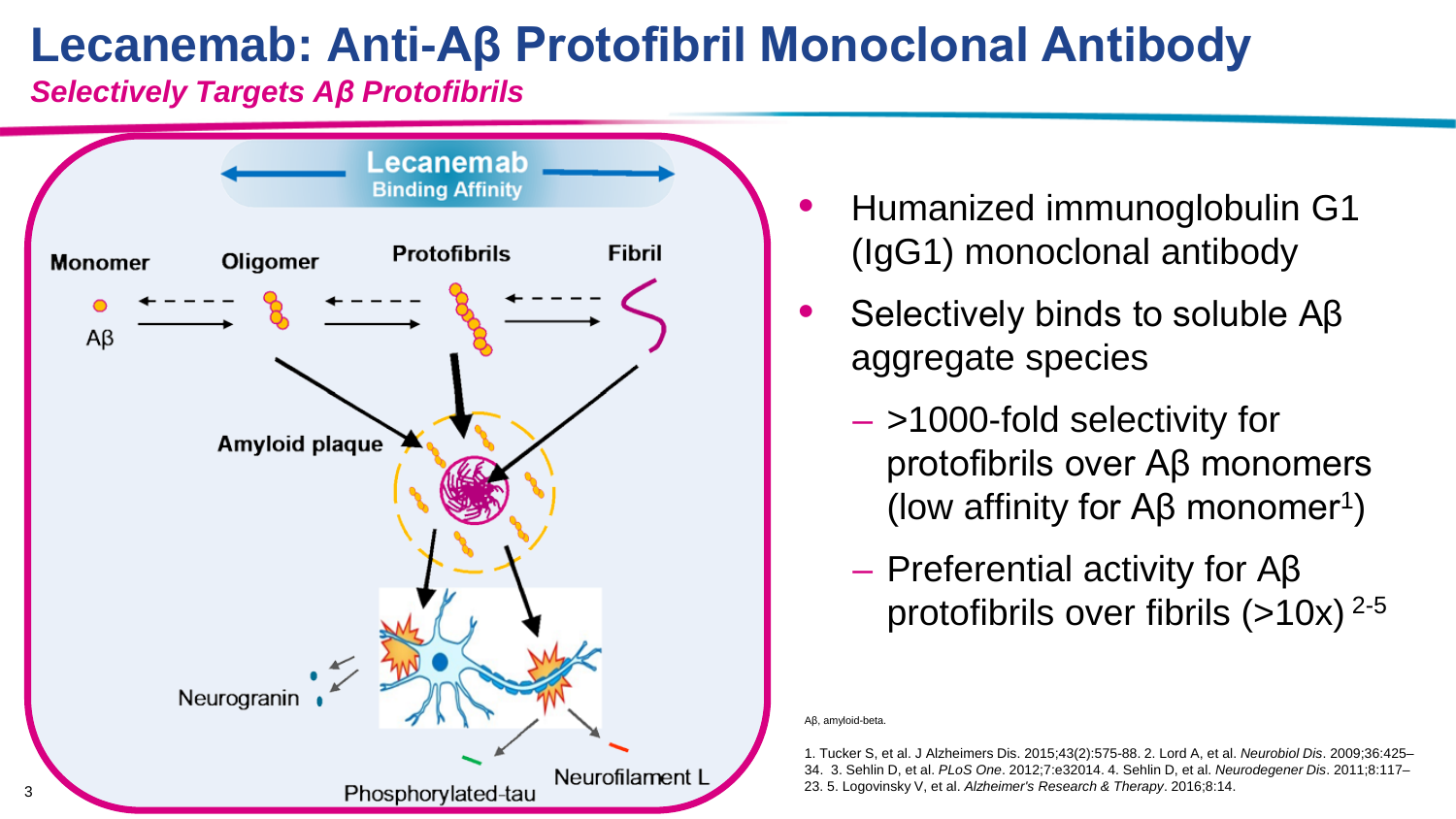# **Lecanemab: Anti-Aβ Protofibril Monoclonal Antibody**

*Selectively Targets Aβ Protofibrils*



- Humanized immunoglobulin G1 (IgG1) monoclonal antibody
- Selectively binds to soluble Aβ aggregate species
	- >1000-fold selectivity for protofibrils over Aβ monomers (low affinity for  $AB$  monomer<sup>1</sup>)
	- Preferential activity for Aβ protofibrils over fibrils  $(>10x)^{2-5}$

Aβ, amyloid-beta.

1. Tucker S, et al. J Alzheimers Dis. 2015;43(2):575-88. 2. Lord A, et al. *Neurobiol Dis*. 2009;36:425– 34. 3. Sehlin D, et al. *PLoS One*. 2012;7:e32014. 4. Sehlin D, et al. *Neurodegener Dis*. 2011;8:117–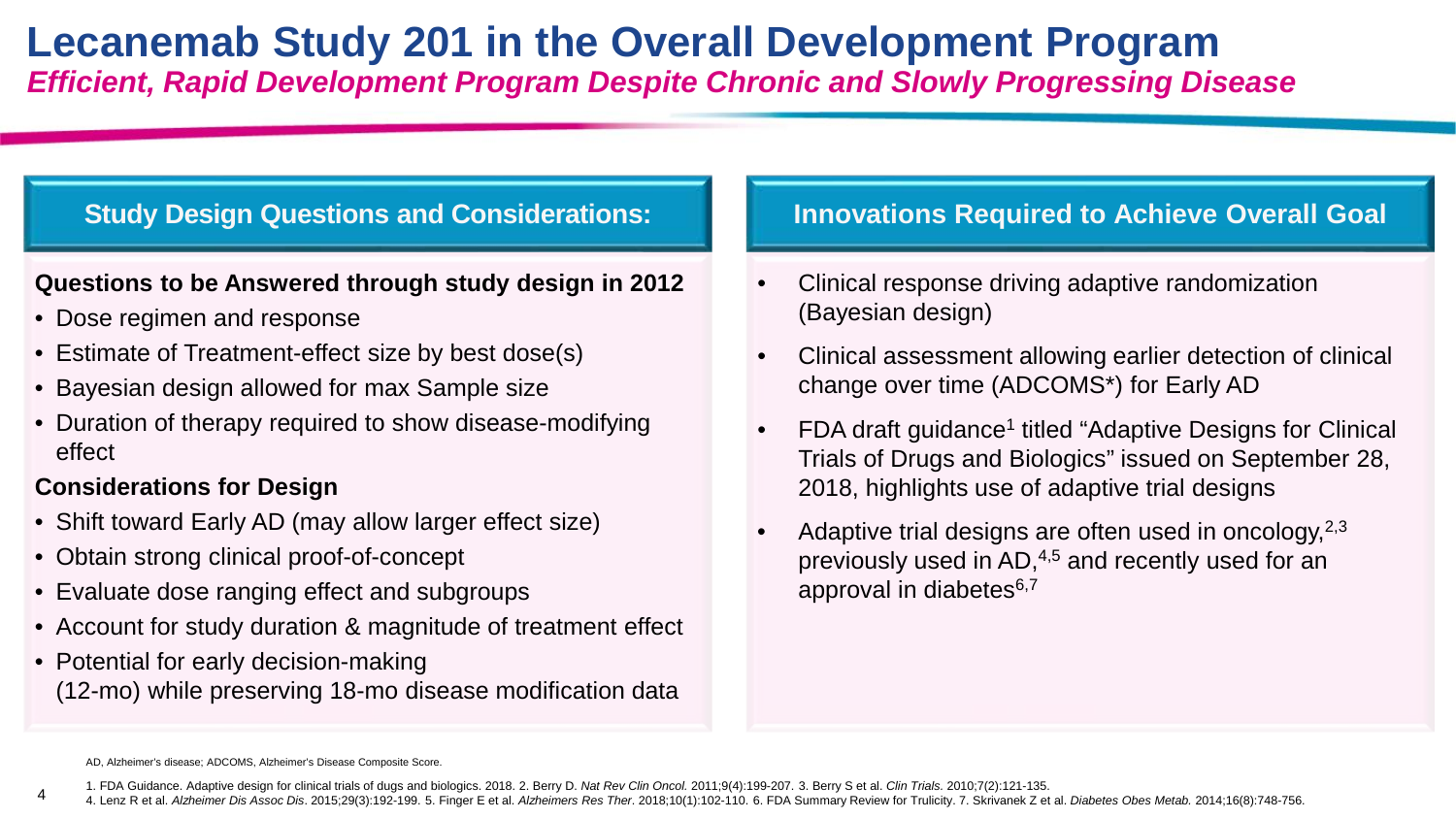### **Lecanemab Study 201 in the Overall Development Program** *Efficient, Rapid Development Program Despite Chronic and Slowly Progressing Disease*

#### **Study Design Questions and Considerations:**

#### **Questions to be Answered through study design in 2012**

- Dose regimen and response
- Estimate of Treatment-effect size by best dose(s)
- Bayesian design allowed for max Sample size
- Duration of therapy required to show disease-modifying effect

#### **Considerations for Design**

4

- Shift toward Early AD (may allow larger effect size)
- Obtain strong clinical proof-of-concept
- Evaluate dose ranging effect and subgroups
- Account for study duration & magnitude of treatment effect
- Potential for early decision-making (12-mo) while preserving 18-mo disease modification data

#### **Innovations Required to Achieve Overall Goal**

- Clinical response driving adaptive randomization (Bayesian design)
- Clinical assessment allowing earlier detection of clinical change over time (ADCOMS\*) for Early AD
- FDA draft guidance<sup>1</sup> titled "Adaptive Designs for Clinical Trials of Drugs and Biologics" issued on September 28, 2018, highlights use of adaptive trial designs
- Adaptive trial designs are often used in oncology,  $2,3$ previously used in AD,4,5 and recently used for an approval in diabetes<sup>6,7</sup>

AD, Alzheimer's disease; ADCOMS, Alzheimer's Disease Composite Score.

<sup>1.</sup> FDA Guidance. Adaptive design for clinical trials of dugs and biologics. 2018. 2. Berry D. *Nat Rev Clin Oncol.* 2011;9(4):199-207. 3. Berry S et al. *Clin Trials.* 2010;7(2):121-135.

<sup>4.</sup> Lenz R et al. Alzheimer Dis Assoc Dis. 2015;29(3):192-199. 5. Finger E et al. Alzheimers Res Ther. 2018;10(1):102-110. 6. FDA Summary Review for Trulicity. 7. Skrivanek Z et al. Diabetes Obes Metab. 2014;16(8):748-756.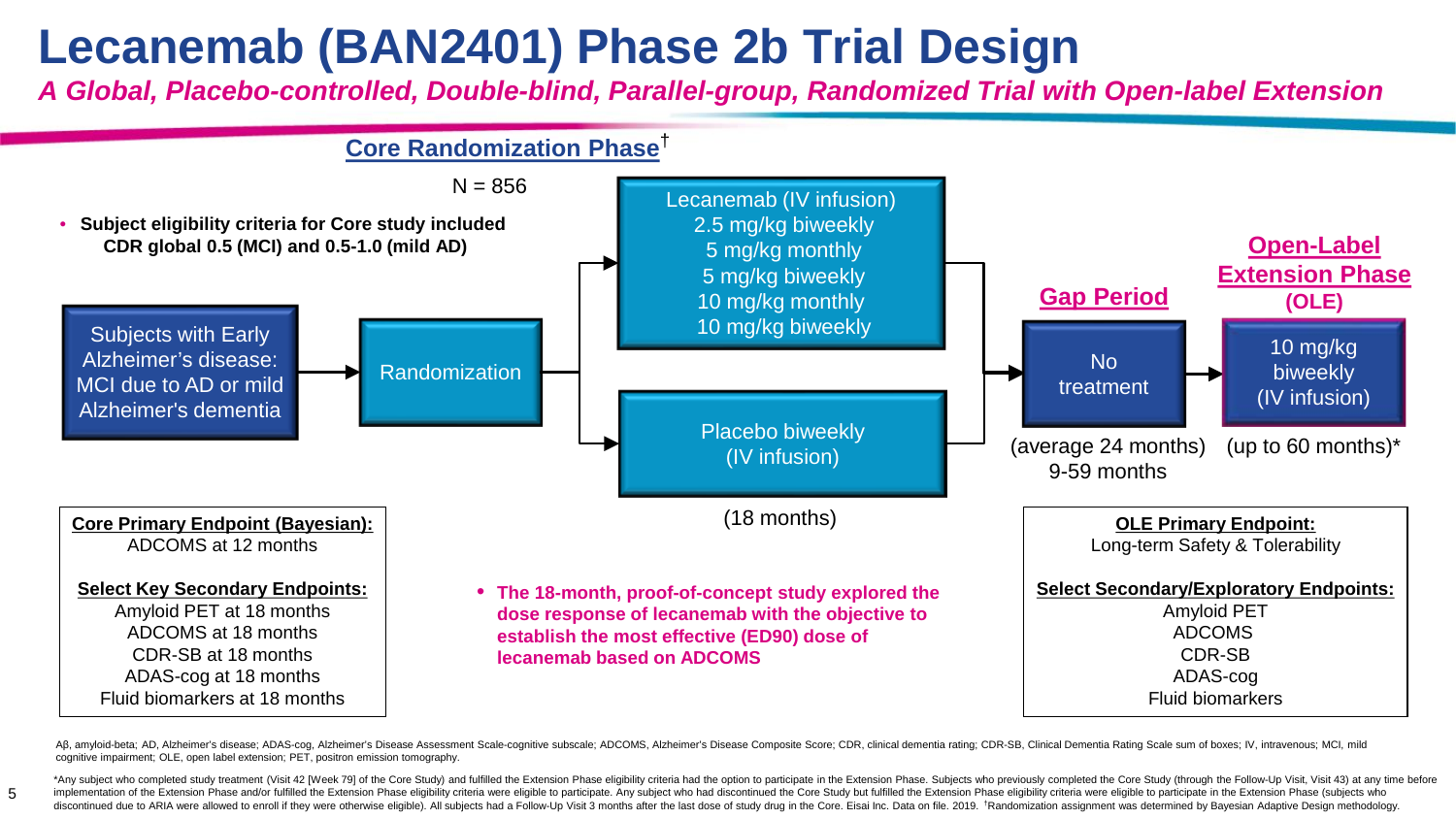# **Lecanemab (BAN2401) Phase 2b Trial Design**

5

*A Global, Placebo-controlled, Double-blind, Parallel-group, Randomized Trial with Open-label Extension*



Aß, amyloid-beta; AD, Alzheimer's disease; ADAS-cog, Alzheimer's Disease Assessment Scale-cognitive subscale; ADCOMS, Alzheimer's Disease Composite Score; CDR, clinical dementia rating; CDR-SB, Clinical Dementia Rating Sca cognitive impairment; OLE, open label extension; PET, positron emission tomography.

\*Any subject who completed study treatment (Visit 42 [Week 79] of the Core Study) and fulfilled the Extension Phase eligibility criteria had the option to participate in the Extension Phase. Subjects who previously complet implementation of the Extension Phase and/or fulfilled the Extension Phase eligibility criteria were eligibility criteria were eligible to participate. Any subject who had discontinued the Core Study but fulfilled the Exte discontinued due to ARIA were allowed to enroll if they were otherwise eligible). All subjects had a Follow-Up Visit 3 months after the last dose of study drug in the Core. Eisai Inc. Data on file. 2019. \*Randomization ass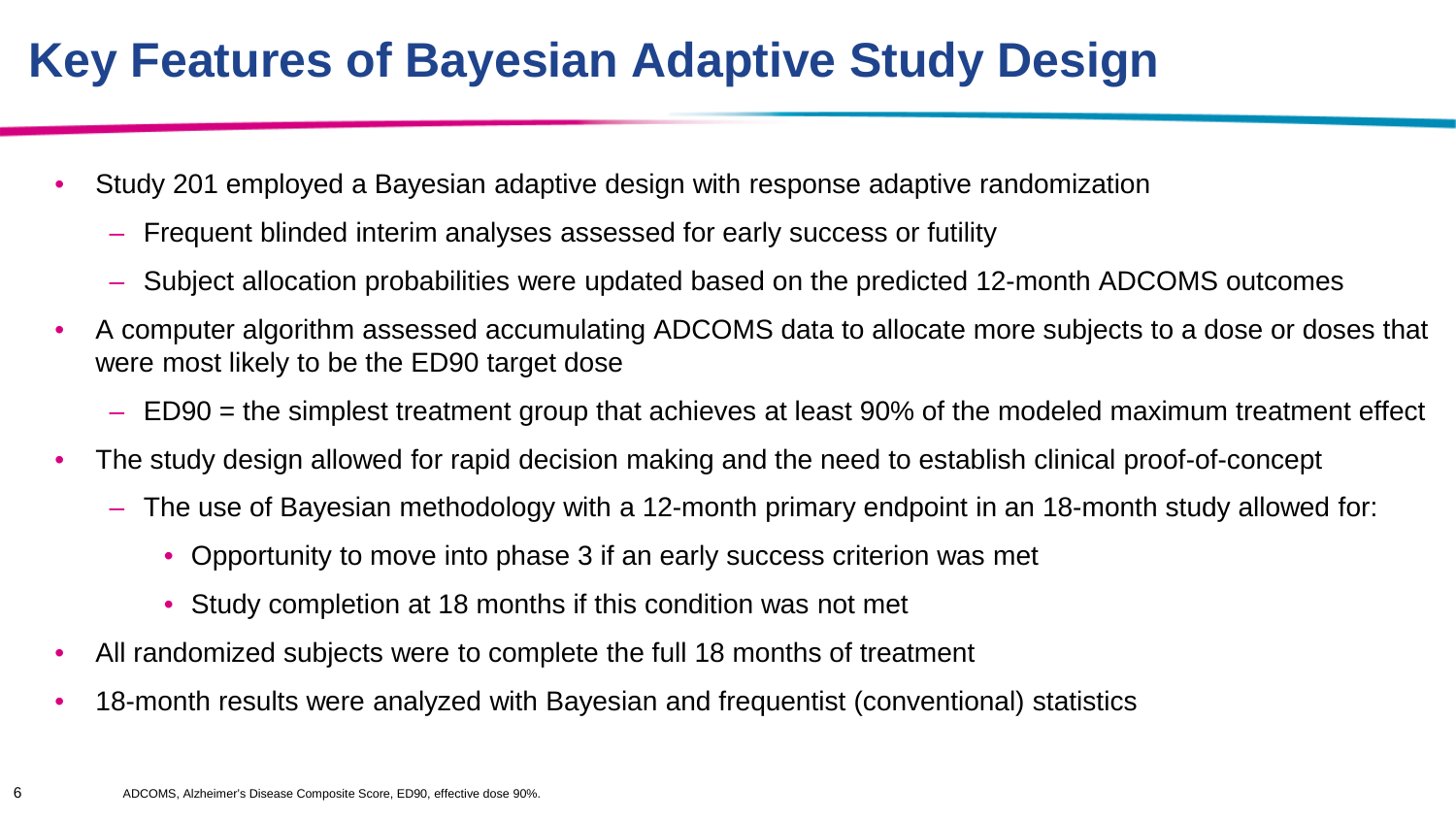# **Key Features of Bayesian Adaptive Study Design**

- Study 201 employed a Bayesian adaptive design with response adaptive randomization
	- Frequent blinded interim analyses assessed for early success or futility
	- Subject allocation probabilities were updated based on the predicted 12-month ADCOMS outcomes
- A computer algorithm assessed accumulating ADCOMS data to allocate more subjects to a dose or doses that were most likely to be the ED90 target dose
	- ED90 = the simplest treatment group that achieves at least 90% of the modeled maximum treatment effect
- The study design allowed for rapid decision making and the need to establish clinical proof-of-concept
	- The use of Bayesian methodology with a 12-month primary endpoint in an 18-month study allowed for:
		- Opportunity to move into phase 3 if an early success criterion was met
		- Study completion at 18 months if this condition was not met
- All randomized subjects were to complete the full 18 months of treatment
- 18-month results were analyzed with Bayesian and frequentist (conventional) statistics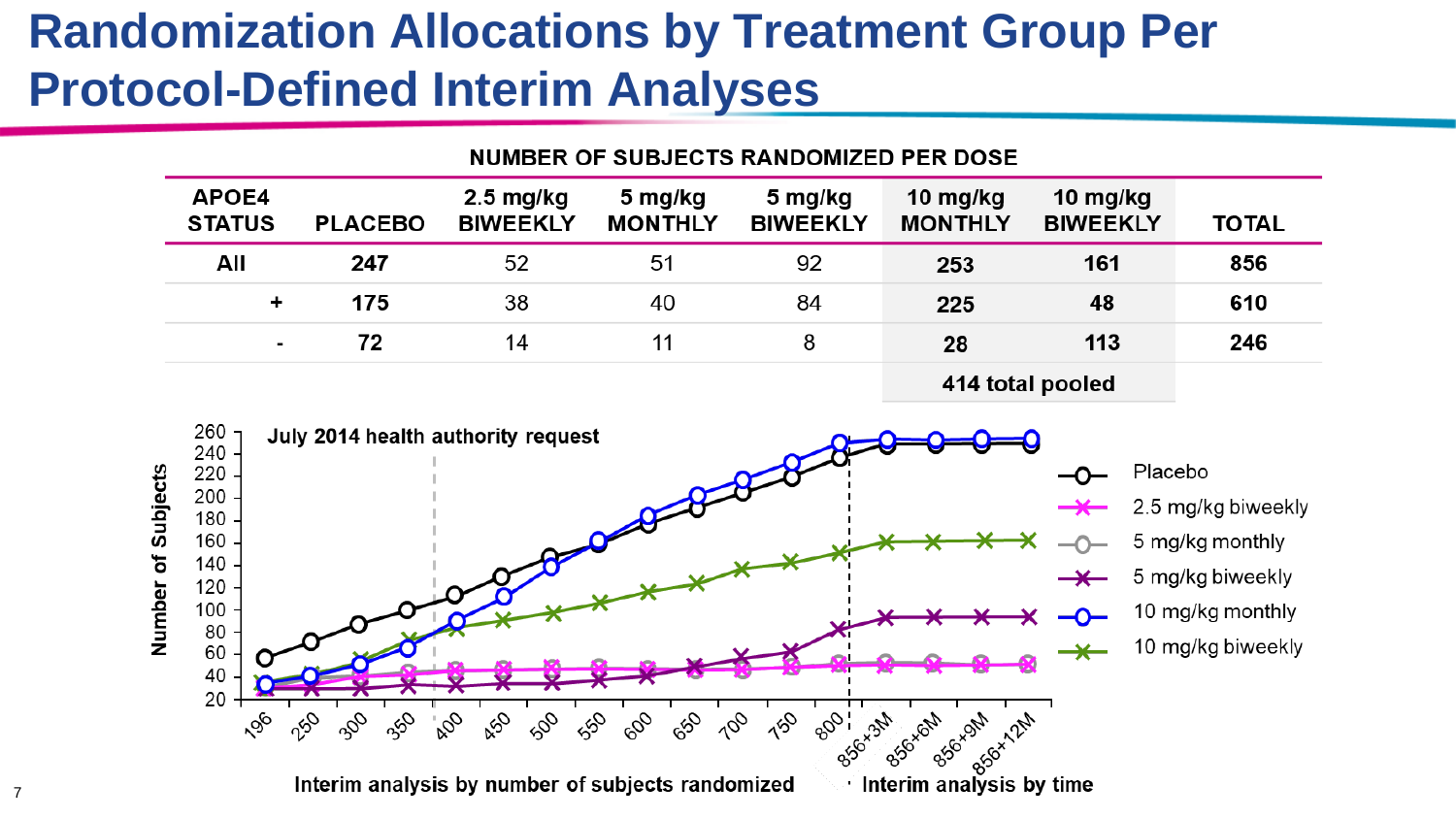# **Randomization Allocations by Treatment Group Per Protocol-Defined Interim Analyses**

| NUMBER OF SUBJECTS RANDOMIZED PER DOSE |                  |                                           |                           |                            |                            |                             |              |  |  |
|----------------------------------------|------------------|-------------------------------------------|---------------------------|----------------------------|----------------------------|-----------------------------|--------------|--|--|
| APOE4<br><b>STATUS</b>                 | <b>PLACEBO</b>   | $2.5 \,\mathrm{mg/kg}$<br><b>BIWEEKLY</b> | 5 mg/kg<br><b>MONTHLY</b> | 5 mg/kg<br><b>BIWEEKLY</b> | 10 mg/kg<br><b>MONTHLY</b> | 10 mg/kg<br><b>BIWEEKLY</b> | <b>TOTAL</b> |  |  |
| All                                    | 247              | 52                                        | 51                        | 92                         | 253                        | 161                         | 856          |  |  |
| ٠                                      | 175              | 38                                        | 40                        | 84                         | 225                        | 48                          | 610          |  |  |
|                                        | 72               | 14                                        | 11                        | 8                          | 28                         | 113                         | 246          |  |  |
|                                        | 414 total pooled |                                           |                           |                            |                            |                             |              |  |  |

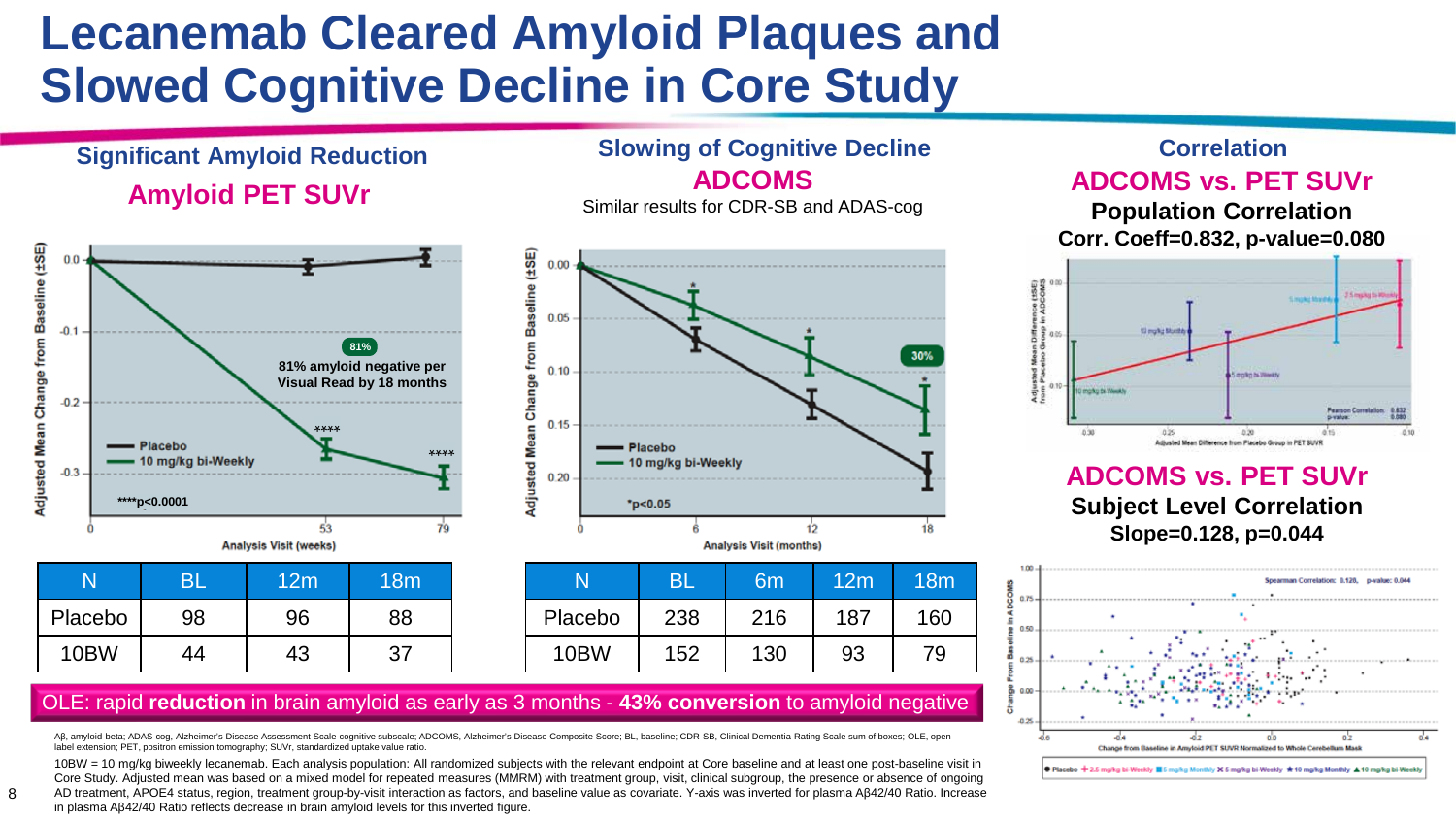# **Lecanemab Cleared Amyloid Plaques and Slowed Cognitive Decline in Core Study**

### **Amyloid PET SUVr Significant Amyloid Reduction Slowing of Cognitive Decline**



10BW | 44 | 43 | 37



**ADCOMS** Similar results for CDR-SB and ADAS-cog

### N BL 6m 12m 18m Placebo | 238 | 216 | 187 | 160 10BW | 152 | 130 | 93 | 79

### **ADCOMS vs. PET SUVr Correlation**

**Population Correlation Corr. Coeff=0.832, p-value=0.080**



#### **ADCOMS vs. PET SUVr Subject Level Correlation Slope=0.128, p=0.044**



#### OLE: rapid **reduction** in brain amyloid as early as 3 months - **43% conversion** to amyloid negative

Aβ, amyloid-beta; ADAS-cog, Alzheimer's Disease Assessment Scale-cognitive subscale; ADCOMS, Alzheimer's Disease Composite Score; BL, baseline; CDR-SB, Clinical Dementia Rating Scale sum of boxes; OLE, openlabel extension; PET, positron emission tomography; SUVr, standardized uptake value ratio.

10BW = 10 mg/kg biweekly lecanemab. Each analysis population: All randomized subjects with the relevant endpoint at Core baseline and at least one post-baseline visit in Core Study. Adjusted mean was based on a mixed model for repeated measures (MMRM) with treatment group, visit, clinical subgroup, the presence or absence of ongoing AD treatment, APOE4 status, region, treatment group-by-visit interaction as factors, and baseline value as covariate. Y-axis was inverted for plasma Aβ42/40 Ratio. Increase

in plasma Aβ42/40 Ratio reflects decrease in brain amyloid levels for this inverted figure.

8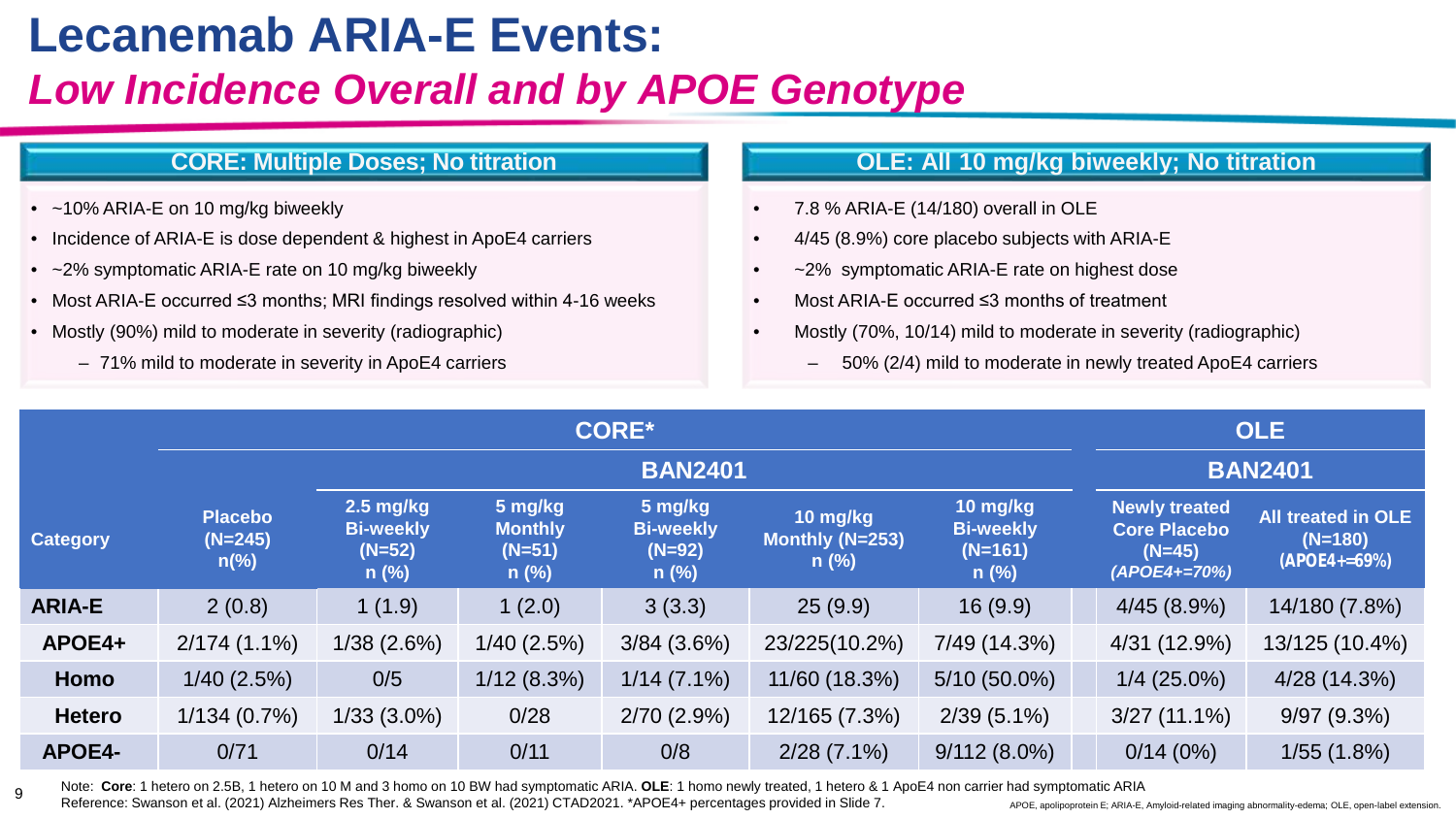## **Lecanemab ARIA-E Events:**

### *Low Incidence Overall and by APOE Genotype*

#### **CORE: Multiple Doses; No titration**

- ~10% ARIA-E on 10 mg/kg biweekly
- Incidence of ARIA-E is dose dependent & highest in ApoE4 carriers
- ~2% symptomatic ARIA-E rate on 10 mg/kg biweekly
- Most ARIA-E occurred ≤3 months; MRI findings resolved within 4-16 weeks
- Mostly (90%) mild to moderate in severity (radiographic)
	- 71% mild to moderate in severity in ApoE4 carriers

#### **OLE: All 10 mg/kg biweekly; No titration**

- 7.8 % ARIA-E (14/180) overall in OLE
- 4/45 (8.9%) core placebo subjects with ARIA-E
- $\sim$ 2% symptomatic ARIA-E rate on highest dose
- Most ARIA-E occurred ≤3 months of treatment
- Mostly (70%, 10/14) mild to moderate in severity (radiographic)
	- 50% (2/4) mild to moderate in newly treated ApoE4 carriers

|                 | <b>CORE*</b>                                  |                                                        |                                                  |                                                    |                                        |                                                      |                                                                         | <b>OLE</b>                                                |  |
|-----------------|-----------------------------------------------|--------------------------------------------------------|--------------------------------------------------|----------------------------------------------------|----------------------------------------|------------------------------------------------------|-------------------------------------------------------------------------|-----------------------------------------------------------|--|
|                 |                                               |                                                        | <b>BAN2401</b>                                   |                                                    |                                        |                                                      |                                                                         |                                                           |  |
| <b>Category</b> | <b>Placebo</b><br>$(N=245)$<br>$n\frac{6}{6}$ | $2.5$ mg/kg<br><b>Bi-weekly</b><br>$(N=52)$<br>$n$ (%) | 5 mg/kg<br><b>Monthly</b><br>$(N=51)$<br>$n$ (%) | 5 mg/kg<br><b>Bi-weekly</b><br>$(N=92)$<br>$n$ (%) | 10 mg/kg<br>Monthly (N=253)<br>$n$ (%) | 10 mg/kg<br><b>Bi-weekly</b><br>$(N=161)$<br>$n$ (%) | <b>Newly treated</b><br><b>Core Placebo</b><br>$(N=45)$<br>(APOE4+=70%) | <b>All treated in OLE</b><br>$(N=180)$<br>$(APOE4 + 59%)$ |  |
| <b>ARIA-E</b>   | 2(0.8)                                        | 1(1.9)                                                 | 1(2.0)                                           | 3(3.3)                                             | 25(9.9)                                | 16(9.9)                                              | 4/45(8.9%)                                                              | 14/180 (7.8%)                                             |  |
| APOE4+          | $2/174(1.1\%)$                                | 1/38(2.6%)                                             | $1/40$ (2.5%)                                    | $3/84$ (3.6%)                                      | 23/225(10.2%)                          | 7/49 (14.3%)                                         | 4/31 (12.9%)                                                            | 13/125 (10.4%)                                            |  |
| Homo            | $1/40$ (2.5%)                                 | 0/5                                                    | 1/12(8.3%)                                       | $1/14(7.1\%)$                                      | 11/60 (18.3%)                          | $5/10(50.0\%)$                                       | $1/4$ (25.0%)                                                           | 4/28 (14.3%)                                              |  |
| <b>Hetero</b>   | 1/134(0.7%)                                   | $1/33(3.0\%)$                                          | 0/28                                             | 2/70(2.9%)                                         | 12/165 (7.3%)                          | $2/39(5.1\%)$                                        | $3/27(11.1\%)$                                                          | 9/97(9.3%)                                                |  |
| APOE4-          | 0/71                                          | 0/14                                                   | 0/11                                             | 0/8                                                | $2/28(7.1\%)$                          | $9/112(8.0\%)$                                       | 0/14(0%)                                                                | 1/55(1.8%)                                                |  |

<sup>9</sup> Note: **Core**: 1 hetero on 2.5B, 1 hetero on 10 M and 3 homo on 10 BW had symptomatic ARIA. **OLE**: 1 homo newly treated, 1 hetero & 1 ApoE4 non carrier had symptomatic ARIA Reference: Swanson et al. (2021) Alzheimers Res Ther. & Swanson et al. (2021) CTAD2021. \*APOE4+ percentages provided in Slide 7.

APOE, apolipoprotein E; ARIA-E, Amyloid-related imaging abnormality-edema; OLE, open-label extension.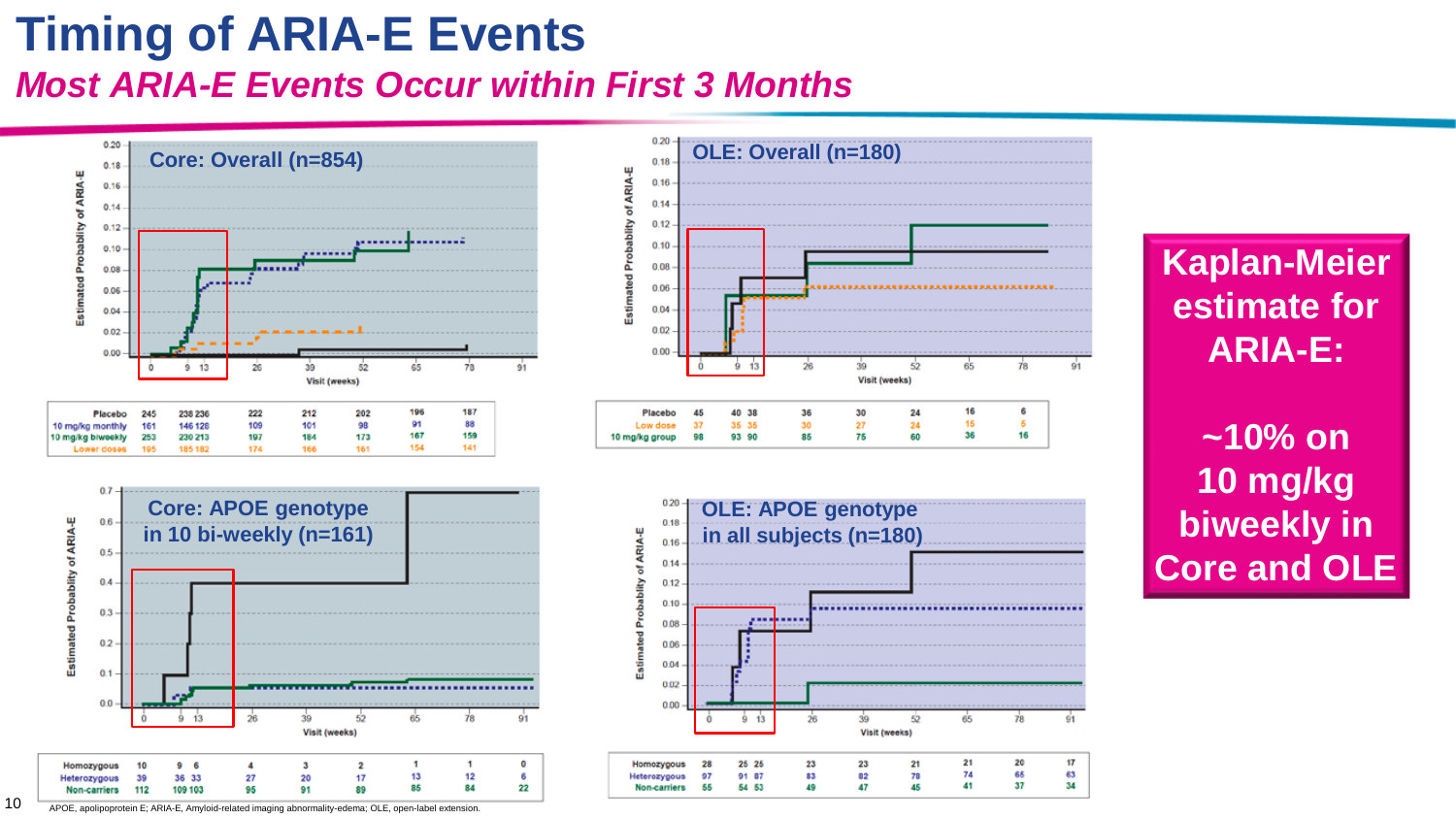## **Timing of ARIA-E Events** *Most ARIA-E Events Occur within First 3 Months*









### **Kaplan-Meier estimate for ARIA-E:**

**~10% on 10 mg/kg biweekly in Core and OLE**

10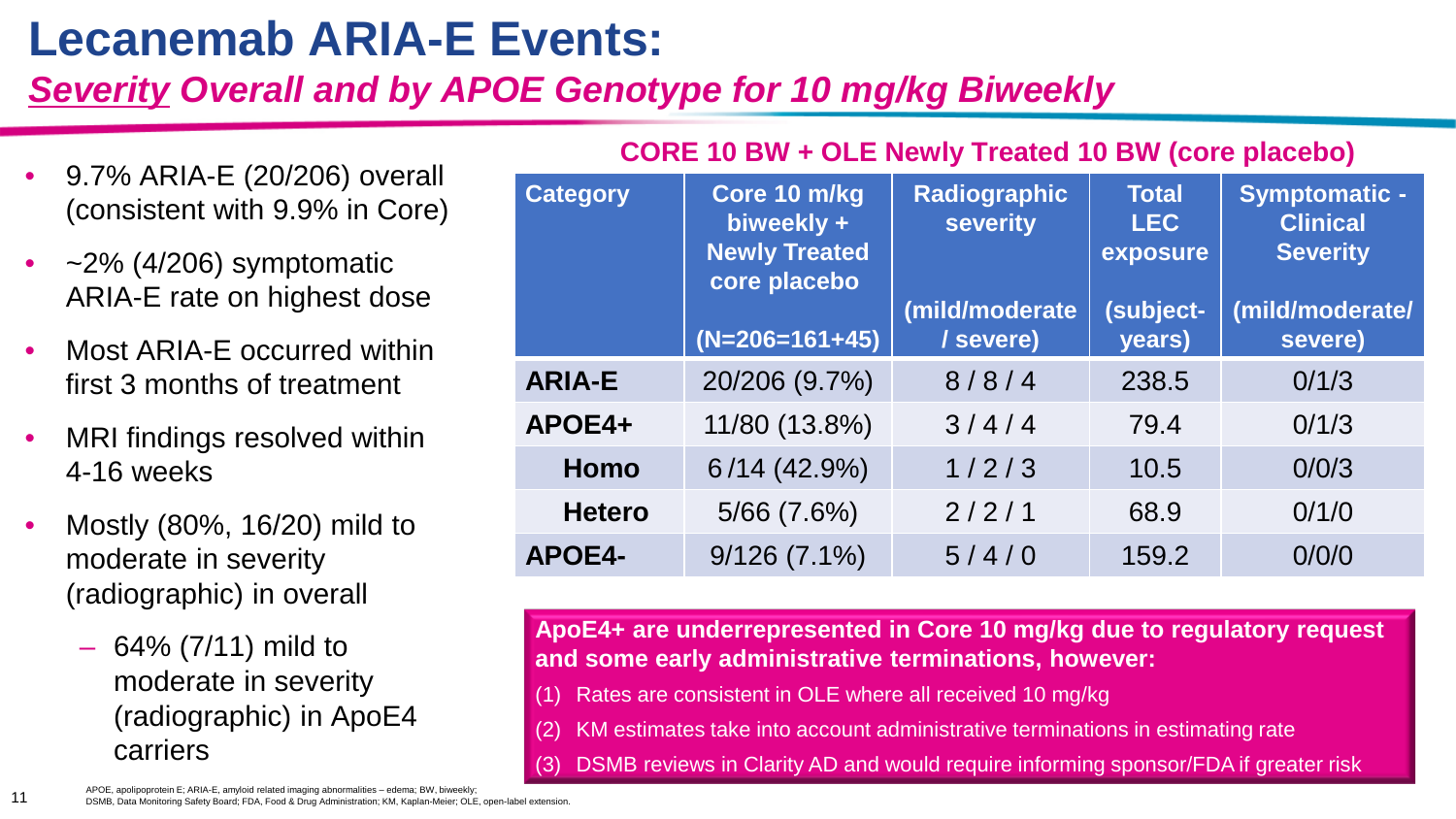# **Lecanemab ARIA-E Events:**

### *Severity Overall and by APOE Genotype for 10 mg/kg Biweekly*

- 9.7% ARIA-E (20/206) overall (consistent with 9.9% in Core)
- $\sim$ 2% (4/206) symptomatic ARIA-E rate on highest dose
- Most ARIA-E occurred within first 3 months of treatment
- MRI findings resolved within 4-16 weeks
- Mostly (80%, 16/20) mild to moderate in severity (radiographic) in overall
	- $-64\% (7/11)$  mild to moderate in severity (radiographic) in ApoE4 carriers

| <b>Category</b> | Core 10 m/kg<br>biweekly +<br><b>Newly Treated</b><br>core placebo | <b>Radiographic</b><br><b>severity</b><br>(mild/moderate | <b>Total</b><br><b>LEC</b><br>exposure<br>(subject- | <b>Symptomatic -</b><br><b>Clinical</b><br><b>Severity</b><br>(mild/moderate/ |  |
|-----------------|--------------------------------------------------------------------|----------------------------------------------------------|-----------------------------------------------------|-------------------------------------------------------------------------------|--|
|                 | $(N=206=161+45)$                                                   | / severe)                                                | years)                                              | severe)                                                                       |  |
| <b>ARIA-E</b>   | 20/206 (9.7%)                                                      | 8/8/4                                                    | 238.5                                               | 0/1/3                                                                         |  |
| APOE4+          | 11/80 (13.8%)                                                      | 3/4/4                                                    | 79.4                                                | 0/1/3                                                                         |  |
| Homo            | 6/14 (42.9%)                                                       | 1/2/3                                                    | 10.5                                                | 0/0/3                                                                         |  |
| <b>Hetero</b>   | $5/66$ $(7.6%)$                                                    | 2/2/1                                                    | 68.9                                                | 0/1/0                                                                         |  |
| <b>APOE4-</b>   | $9/126(7.1\%)$                                                     | 5/4/0                                                    | 159.2                                               | 0/0/0                                                                         |  |

#### **CORE 10 BW + OLE Newly Treated 10 BW (core placebo)**

**ApoE4+ are underrepresented in Core 10 mg/kg due to regulatory request and some early administrative terminations, however:** 

- Rates are consistent in OLE where all received 10 mg/kg
- (2) KM estimates take into account administrative terminations in estimating rate
- (3) DSMB reviews in Clarity AD and would require informing sponsor/FDA if greater risk

APOE, apolipoprotein E; ARIA-E, amyloid related imaging abnormalities – edema; BW, biweekly; DSMB, Data Monitoring Safety Board; FDA, Food & Drug Administration; KM, Kaplan-Meier; OLE, open-label extension.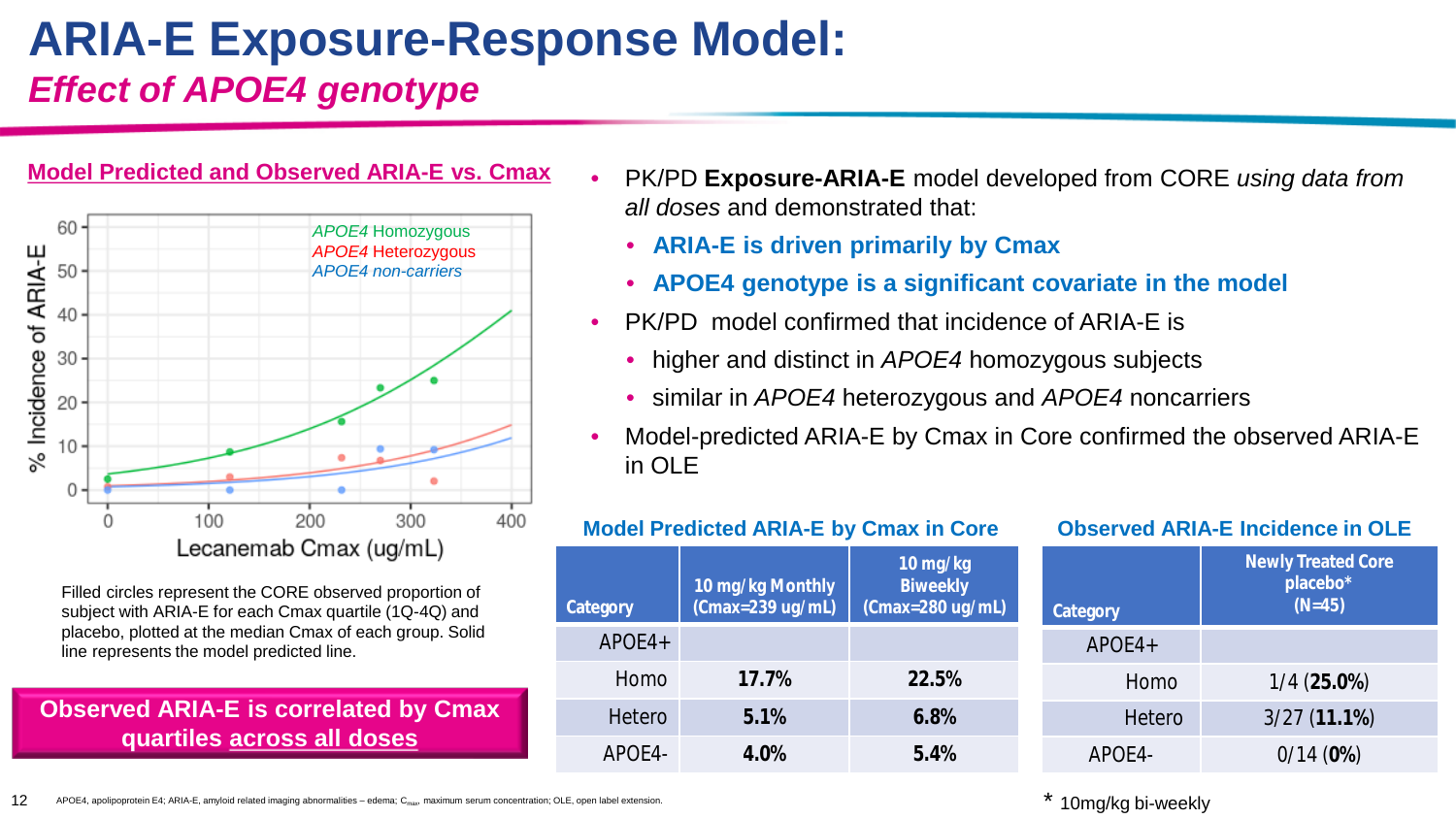## **ARIA-E Exposure-Response Model:**  *Effect of APOE4 genotype*



Filled circles represent the CORE observed proportion of subject with ARIA-E for each Cmax quartile (1Q-4Q) and placebo, plotted at the median Cmax of each group. Solid line represents the model predicted line.

#### **Observed ARIA-E is correlated by Cmax quartiles across all doses**

- PK/PD **Exposure-ARIA-E** model developed from CORE *using data from all doses* and demonstrated that:
	- **ARIA-E is driven primarily by Cmax**
	- **APOE4 genotype is a significant covariate in the model**
- PK/PD model confirmed that incidence of ARIA-E is
	- higher and distinct in *APOE4* homozygous subjects
	- similar in *APOE4* heterozygous and *APOE4* noncarriers
- Model-predicted ARIA-E by Cmax in Core confirmed the observed ARIA-E in OLE

|          | <b>Model Predicted ARIA-E by Cmax in Core</b> |                                                     |          | <b>Observed ARIA-E Incidence in OLE</b>           |  |  |  |
|----------|-----------------------------------------------|-----------------------------------------------------|----------|---------------------------------------------------|--|--|--|
| Category | 10 mg/kg Monthly<br>$($ Cmax=239 ug/mL $)$    | $10$ mg/kg<br><b>Biweekly</b><br>$(Cmax=280$ ug/mL) | Category | <b>Newly Treated Core</b><br>placebo*<br>$(N=45)$ |  |  |  |
| $APOE4+$ |                                               |                                                     | $APOE4+$ |                                                   |  |  |  |
| Homo     | 17.7%                                         | 22.5%                                               | Homo     | $1/4(25.0\%)$                                     |  |  |  |
| Hetero   | 5.1%                                          | 6.8%                                                | Hetero   | 3/27(11.1%)                                       |  |  |  |
| APOE4-   | 4.0%                                          | 5.4%                                                | APOE4-   | 0/14(0%)                                          |  |  |  |

12 APOE4, apolipoprotein E4; ARIA-E, amyloid related imaging abnormalities – edema; C<sub>max</sub> maximum serum concentration; OLE, open label extension.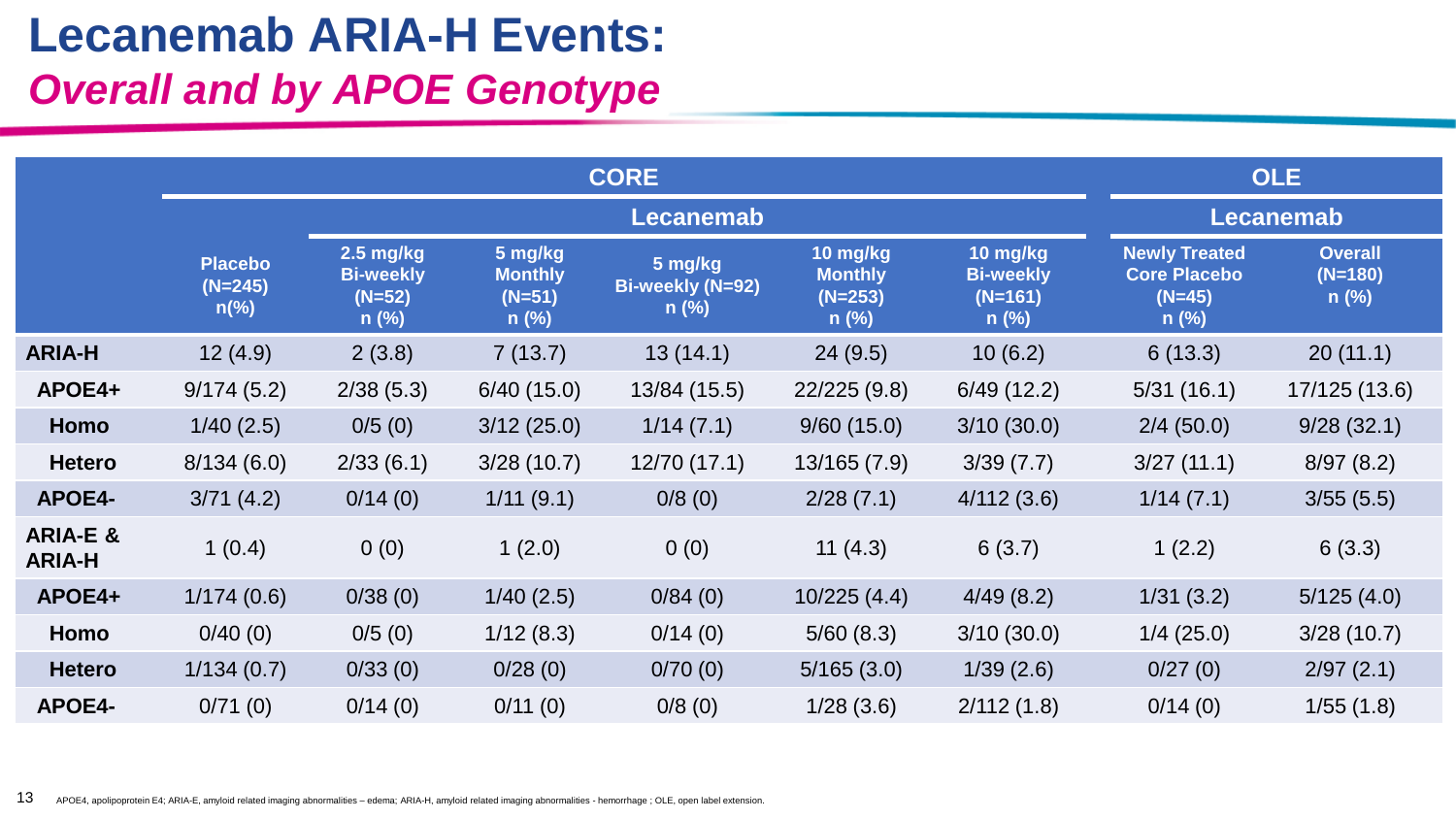## **Lecanemab ARIA-H Events:**  *Overall and by APOE Genotype*

|                                      |                                               |                                                        |                                                  | <b>OLE</b>                             |                                                    |                                                      |                                                                    |                                        |
|--------------------------------------|-----------------------------------------------|--------------------------------------------------------|--------------------------------------------------|----------------------------------------|----------------------------------------------------|------------------------------------------------------|--------------------------------------------------------------------|----------------------------------------|
|                                      |                                               |                                                        |                                                  | Lecanemab                              |                                                    |                                                      |                                                                    |                                        |
|                                      | <b>Placebo</b><br>$(N=245)$<br>$n\frac{9}{6}$ | $2.5$ mg/kg<br><b>Bi-weekly</b><br>$(N=52)$<br>$n$ (%) | 5 mg/kg<br><b>Monthly</b><br>$(N=51)$<br>$n$ (%) | 5 mg/kg<br>Bi-weekly (N=92)<br>$n$ (%) | 10 mg/kg<br><b>Monthly</b><br>$(N=253)$<br>$n$ (%) | 10 mg/kg<br><b>Bi-weekly</b><br>$(N=161)$<br>$n$ (%) | <b>Newly Treated</b><br><b>Core Placebo</b><br>$(N=45)$<br>$n$ (%) | <b>Overall</b><br>$(N=180)$<br>$n$ (%) |
| <b>ARIA-H</b>                        | 12(4.9)                                       | 2(3.8)                                                 | 7(13.7)                                          | 13(14.1)                               | 24(9.5)                                            | 10(6.2)                                              | 6(13.3)                                                            | 20(11.1)                               |
| APOE4+                               | 9/174(5.2)                                    | 2/38(5.3)                                              | 6/40(15.0)                                       | 13/84 (15.5)                           | 22/225(9.8)                                        | 6/49(12.2)                                           | 5/31(16.1)                                                         | 17/125 (13.6)                          |
| Homo                                 | 1/40(2.5)                                     | 0/5(0)                                                 | 3/12(25.0)                                       | 1/14(7.1)                              | 9/60(15.0)                                         | 3/10(30.0)                                           | 2/4(50.0)                                                          | 9/28(32.1)                             |
| <b>Hetero</b>                        | 8/134(6.0)                                    | 2/33(6.1)                                              | 3/28(10.7)                                       | 12/70 (17.1)                           | 13/165(7.9)                                        | 3/39(7.7)                                            | 3/27(11.1)                                                         | 8/97(8.2)                              |
| APOE4-                               | 3/71(4.2)                                     | 0/14(0)                                                | 1/11(9.1)                                        | 0/8(0)                                 | 2/28(7.1)                                          | 4/112(3.6)                                           | 1/14(7.1)                                                          | 3/55(5.5)                              |
| <b>ARIA-E &amp;</b><br><b>ARIA-H</b> | 1(0.4)                                        | 0(0)                                                   | 1(2.0)                                           | 0(0)                                   | 11(4.3)                                            | 6(3.7)                                               | 1(2.2)                                                             | 6(3.3)                                 |
| APOE4+                               | 1/174(0.6)                                    | 0/38(0)                                                | 1/40(2.5)                                        | 0/84(0)                                | 10/225(4.4)                                        | 4/49(8.2)                                            | 1/31(3.2)                                                          | 5/125(4.0)                             |
| Homo                                 | 0/40(0)                                       | 0/5(0)                                                 | 1/12(8.3)                                        | 0/14(0)                                | 5/60(8.3)                                          | 3/10(30.0)                                           | 1/4(25.0)                                                          | 3/28(10.7)                             |
| <b>Hetero</b>                        | 1/134(0.7)                                    | 0/33(0)                                                | 0/28(0)                                          | 0/70(0)                                | 5/165(3.0)                                         | 1/39(2.6)                                            | 0/27(0)                                                            | 2/97(2.1)                              |
| <b>APOE4-</b>                        | 0/71(0)                                       | 0/14(0)                                                | 0/11(0)                                          | 0/8(0)                                 | 1/28(3.6)                                          | 2/112(1.8)                                           | 0/14(0)                                                            | 1/55(1.8)                              |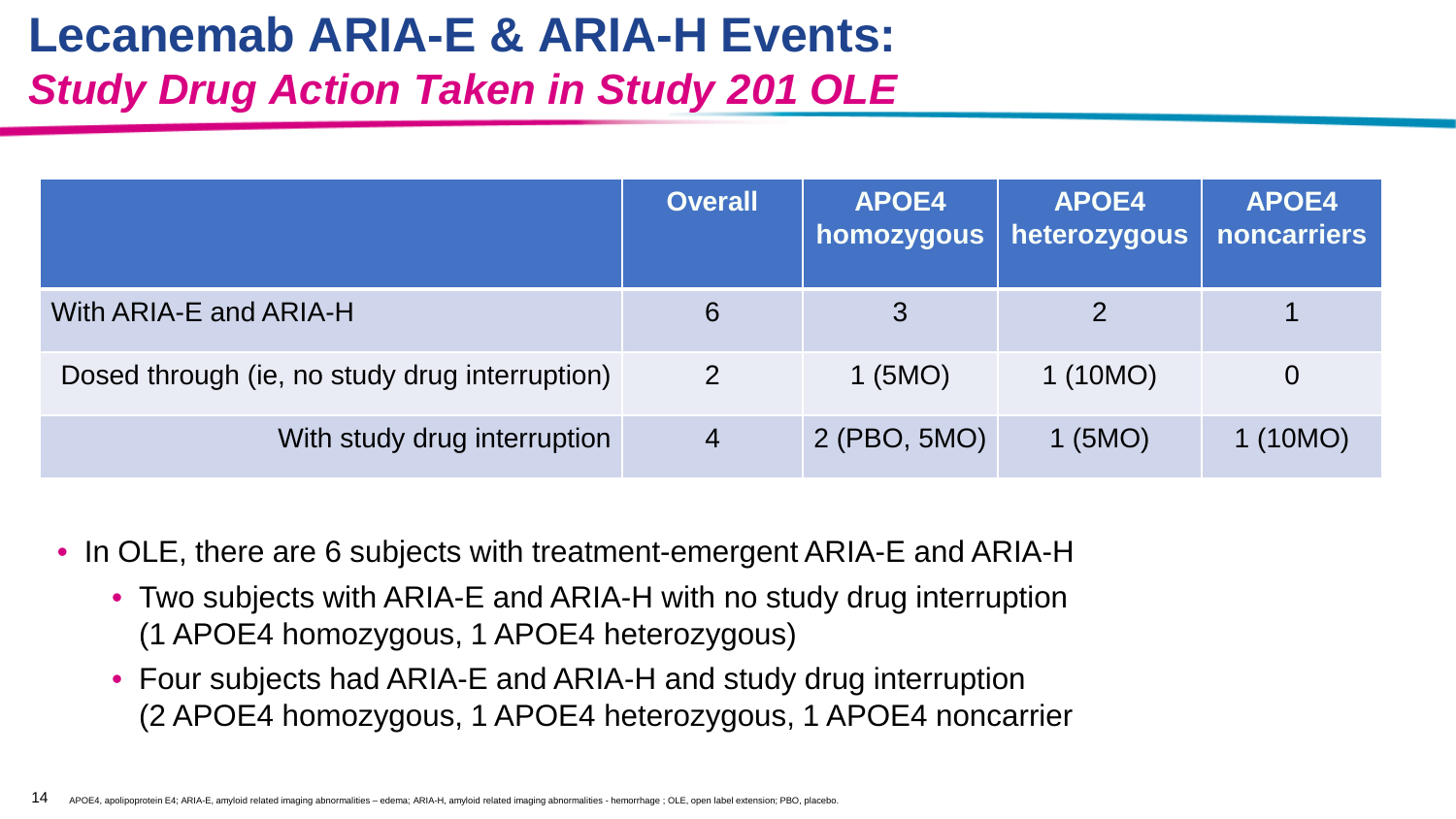# **Lecanemab ARIA-E & ARIA-H Events:**  *Study Drug Action Taken in Study 201 OLE*

|                                                | <b>Overall</b> | APOE4<br>homozygous | <b>APOE4</b><br>heterozygous | <b>APOE4</b><br>noncarriers |
|------------------------------------------------|----------------|---------------------|------------------------------|-----------------------------|
| With ARIA-E and ARIA-H                         | 6              | 3                   |                              |                             |
| Dosed through (ie, no study drug interruption) | 2              | $1$ (5MO)           | 1(10MO)                      | $\overline{0}$              |
| With study drug interruption                   | $\overline{4}$ | 2 (PBO, 5MO)        | $1$ (5MO)                    | 1(10MO)                     |

- In OLE, there are 6 subjects with treatment-emergent ARIA-E and ARIA-H
	- Two subjects with ARIA-E and ARIA-H with no study drug interruption (1 APOE4 homozygous, 1 APOE4 heterozygous)
	- Four subjects had ARIA-E and ARIA-H and study drug interruption (2 APOE4 homozygous, 1 APOE4 heterozygous, 1 APOE4 noncarrier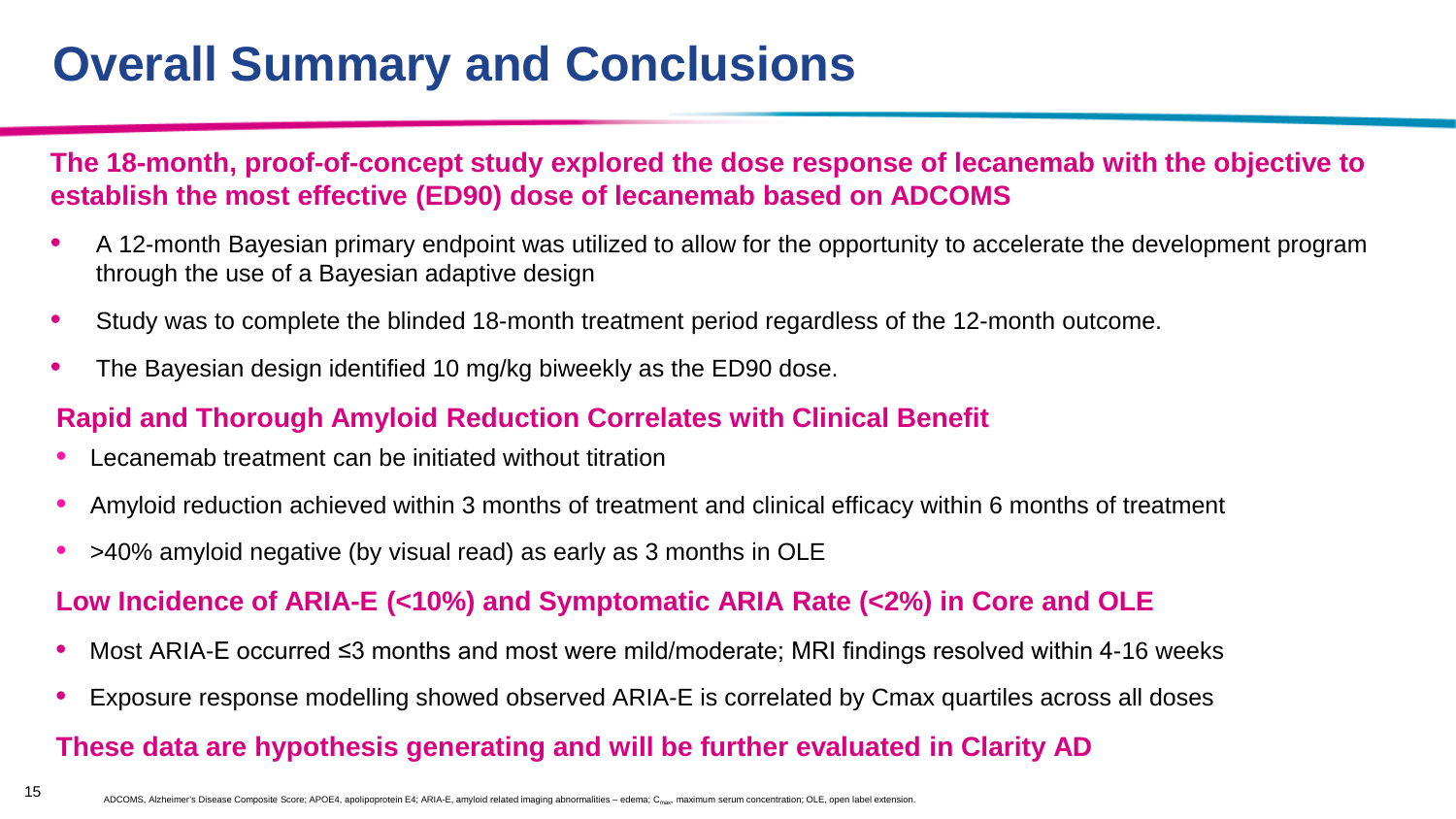# **Overall Summary and Conclusions**

#### **The 18-month, proof-of-concept study explored the dose response of lecanemab with the objective to establish the most effective (ED90) dose of lecanemab based on ADCOMS**

- A 12-month Bayesian primary endpoint was utilized to allow for the opportunity to accelerate the development program through the use of a Bayesian adaptive design
- Study was to complete the blinded 18-month treatment period regardless of the 12-month outcome.
- The Bayesian design identified 10 mg/kg biweekly as the ED90 dose.

#### **Rapid and Thorough Amyloid Reduction Correlates with Clinical Benefit**

- Lecanemab treatment can be initiated without titration
- Amyloid reduction achieved within 3 months of treatment and clinical efficacy within 6 months of treatment
- >40% amyloid negative (by visual read) as early as 3 months in OLE

#### **Low Incidence of ARIA-E (<10%) and Symptomatic ARIA Rate (<2%) in Core and OLE**

- Most ARIA-E occurred ≤3 months and most were mild/moderate; MRI findings resolved within 4-16 weeks
- Exposure response modelling showed observed ARIA-E is correlated by Cmax quartiles across all doses

#### **These data are hypothesis generating and will be further evaluated in Clarity AD**